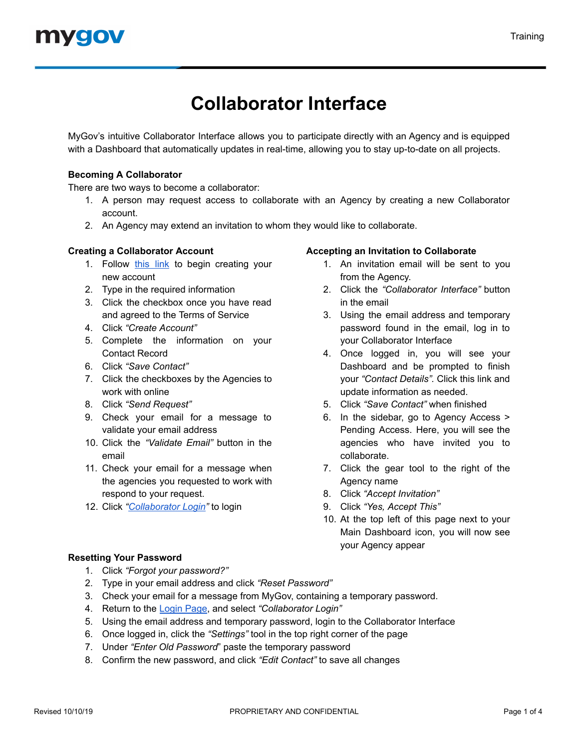# **Collaborator Interface**

MyGov's intuitive Collaborator Interface allows you to participate directly with an Agency and is equipped with a Dashboard that automatically updates in real-time, allowing you to stay up-to-date on all projects.

# **Becoming A Collaborator**

There are two ways to become a collaborator:

- 1. A person may request access to collaborate with an Agency by creating a new Collaborator account.
- 2. An Agency may extend an invitation to whom they would like to collaborate.

# **Creating a Collaborator Account**

- 1. Follow [this](https://web.mygov.us/oac/collaborators/registration) link to begin creating your new account
- 2. Type in the required information
- 3. Click the checkbox once you have read and agreed to the Terms of Service
- 4. Click *"Create Account"*
- 5. Complete the information on your Contact Record
- 6. Click *"Save Contact"*
- 7. Click the checkboxes by the Agencies to work with online
- 8. Click *"Send Request"*
- 9. Check your email for a message to validate your email address
- 10. Click the *"Validate Email"* button in the email
- 11. Check your email for a message when the agencies you requested to work with respond to your request.
- 12. Click *"[Collaborator](https://web.mygov.us/login/) Login"* to login

## **Accepting an Invitation to Collaborate**

- 1. An invitation email will be sent to you from the Agency.
- 2. Click the *"Collaborator Interface"* button in the email
- 3. Using the email address and temporary password found in the email, log in to your Collaborator Interface
- 4. Once logged in, you will see your Dashboard and be prompted to finish your *"Contact Details".* Click this link and update information as needed.
- 5. Click *"Save Contact"* when finished
- 6. In the sidebar, go to Agency Access > Pending Access. Here, you will see the agencies who have invited you to collaborate.
- 7. Click the gear tool to the right of the Agency name
- 8. Click *"Accept Invitation"*
- 9. Click *"Yes, Accept This"*
- 10. At the top left of this page next to your Main Dashboard icon, you will now see your Agency appear

# **Resetting Your Password**

- 1. Click *"Forgot your password?"*
- 2. Type in your email address and click *"Reset Password"*
- 3. Check your email for a message from MyGov, containing a temporary password.
- 4. Return to the [Login](https://web.mygov.us/login/) Page, and select *"Collaborator Login"*
- 5. Using the email address and temporary password, login to the Collaborator Interface
- 6. Once logged in, click the *"Settings"* tool in the top right corner of the page
- 7. Under *"Enter Old Password*" paste the temporary password
- 8. Confirm the new password, and click *"Edit Contact"* to save all changes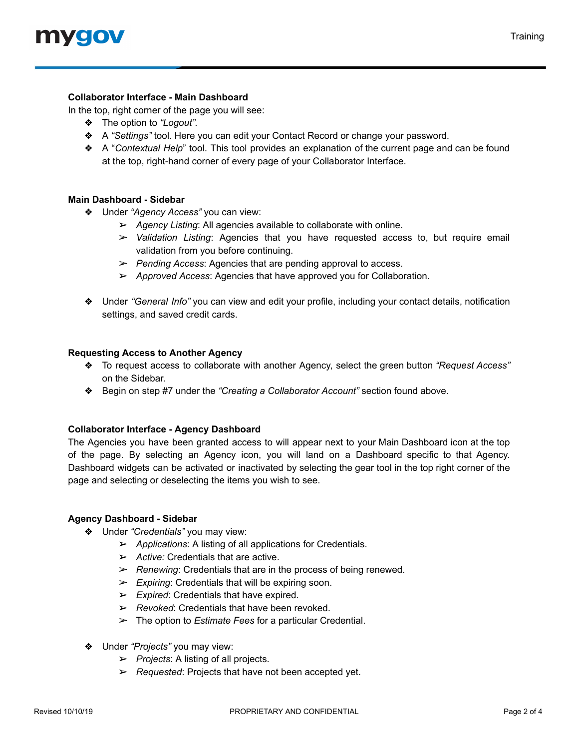## **Collaborator Interface - Main Dashboard**

In the top, right corner of the page you will see:

- ❖ The option to *"Logout".*
- ❖ A *"Settings"* tool. Here you can edit your Contact Record or change your password.
- ❖ A "*Contextual Help*" tool. This tool provides an explanation of the current page and can be found at the top, right-hand corner of every page of your Collaborator Interface.

#### **Main Dashboard - Sidebar**

- ❖ Under *"Agency Access"* you can view:
	- ➢ *Agency Listing*: All agencies available to collaborate with online.
	- ➢ *Validation Listing*: Agencies that you have requested access to, but require email validation from you before continuing.
	- ➢ *Pending Access*: Agencies that are pending approval to access.
	- ➢ *Approved Access*: Agencies that have approved you for Collaboration.
- ❖ Under *"General Info"* you can view and edit your profile, including your contact details, notification settings, and saved credit cards.

#### **Requesting Access to Another Agency**

- ❖ To request access to collaborate with another Agency, select the green button *"Request Access"* on the Sidebar.
- ❖ Begin on step #7 under the *"Creating a Collaborator Account"* section found above.

#### **Collaborator Interface - Agency Dashboard**

The Agencies you have been granted access to will appear next to your Main Dashboard icon at the top of the page. By selecting an Agency icon, you will land on a Dashboard specific to that Agency. Dashboard widgets can be activated or inactivated by selecting the gear tool in the top right corner of the page and selecting or deselecting the items you wish to see.

#### **Agency Dashboard - Sidebar**

- ❖ Under *"Credentials"* you may view:
	- ➢ *Applications*: A listing of all applications for Credentials.
	- ➢ *Active:* Credentials that are active.
	- ➢ *Renewing*: Credentials that are in the process of being renewed.
	- ➢ *Expiring*: Credentials that will be expiring soon.
	- ➢ *Expired*: Credentials that have expired.
	- ➢ *Revoked*: Credentials that have been revoked.
	- ➢ The option to *Estimate Fees* for a particular Credential.
- ❖ Under *"Projects"* you may view:
	- ➢ *Projects*: A listing of all projects.
	- ➢ *Requested*: Projects that have not been accepted yet.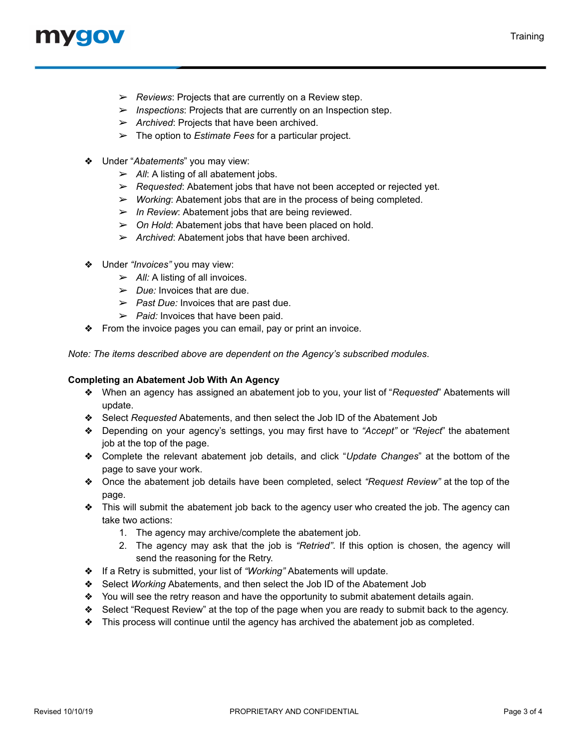# mvoov

- ➢ *Reviews*: Projects that are currently on a Review step.
- ➢ *Inspections*: Projects that are currently on an Inspection step.
- ➢ *Archived*: Projects that have been archived.
- ➢ The option to *Estimate Fees* for a particular project.
- ❖ Under "*Abatements*" you may view:
	- ➢ *All*: A listing of all abatement jobs.
	- ➢ *Requested*: Abatement jobs that have not been accepted or rejected yet.
	- ➢ *Working*: Abatement jobs that are in the process of being completed.
	- ➢ *In Review*: Abatement jobs that are being reviewed.
	- ➢ *On Hold*: Abatement jobs that have been placed on hold.
	- ➢ *Archived*: Abatement jobs that have been archived.
- ❖ Under *"Invoices"* you may view:
	- ➢ *All:* A listing of all invoices.
	- ➢ *Due:* Invoices that are due.
	- ➢ *Past Due:* Invoices that are past due.
	- ➢ *Paid:* Invoices that have been paid.
- ❖ From the invoice pages you can email, pay or print an invoice.

*Note: The items described above are dependent on the Agency's subscribed modules*.

# **Completing an Abatement Job With An Agency**

- ❖ When an agency has assigned an abatement job to you, your list of "*Requested*" Abatements will update.
- ❖ Select *Requested* Abatements, and then select the Job ID of the Abatement Job
- ❖ Depending on your agency's settings, you may first have to *"Accept"* or *"Reject*" the abatement job at the top of the page.
- ❖ Complete the relevant abatement job details, and click "*Update Changes*" at the bottom of the page to save your work.
- ❖ Once the abatement job details have been completed, select *"Request Review"* at the top of the page.
- ❖ This will submit the abatement job back to the agency user who created the job. The agency can take two actions:
	- 1. The agency may archive/complete the abatement job.
	- 2. The agency may ask that the job is *"Retried"*. If this option is chosen, the agency will send the reasoning for the Retry.
- ❖ If a Retry is submitted, your list of *"Working"* Abatements will update.
- ❖ Select *Working* Abatements, and then select the Job ID of the Abatement Job
- ❖ You will see the retry reason and have the opportunity to submit abatement details again.
- ❖ Select "Request Review" at the top of the page when you are ready to submit back to the agency.
- ❖ This process will continue until the agency has archived the abatement job as completed.